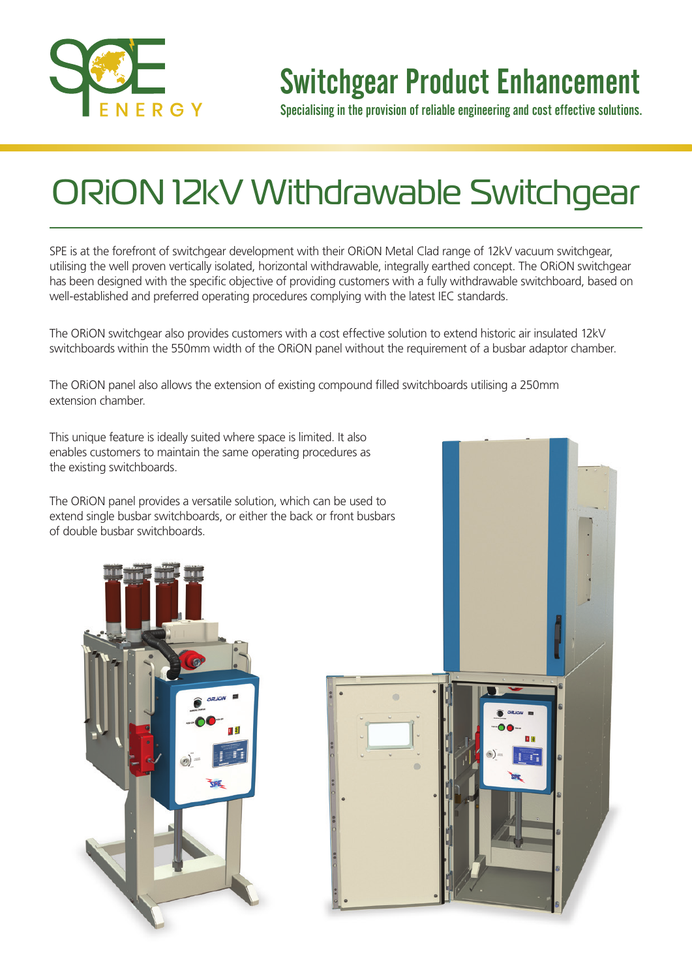

### Switchgear Product Enhancement

Specialising in the provision of reliable engineering and cost effective solutions.

## ORiON 12kV Withdrawable Switchgear

SPE is at the forefront of switchgear development with their ORiON Metal Clad range of 12kV vacuum switchgear, utilising the well proven vertically isolated, horizontal withdrawable, integrally earthed concept. The ORiON switchgear has been designed with the specific objective of providing customers with a fully withdrawable switchboard, based on well-established and preferred operating procedures complying with the latest IEC standards.

The ORiON switchgear also provides customers with a cost effective solution to extend historic air insulated 12kV switchboards within the 550mm width of the ORiON panel without the requirement of a busbar adaptor chamber.

The ORiON panel also allows the extension of existing compound filled switchboards utilising a 250mm extension chamber.

This unique feature is ideally suited where space is limited. It also enables customers to maintain the same operating procedures as the existing switchboards.

The ORiON panel provides a versatile solution, which can be used to extend single busbar switchboards, or either the back or front busbars of double busbar switchboards.